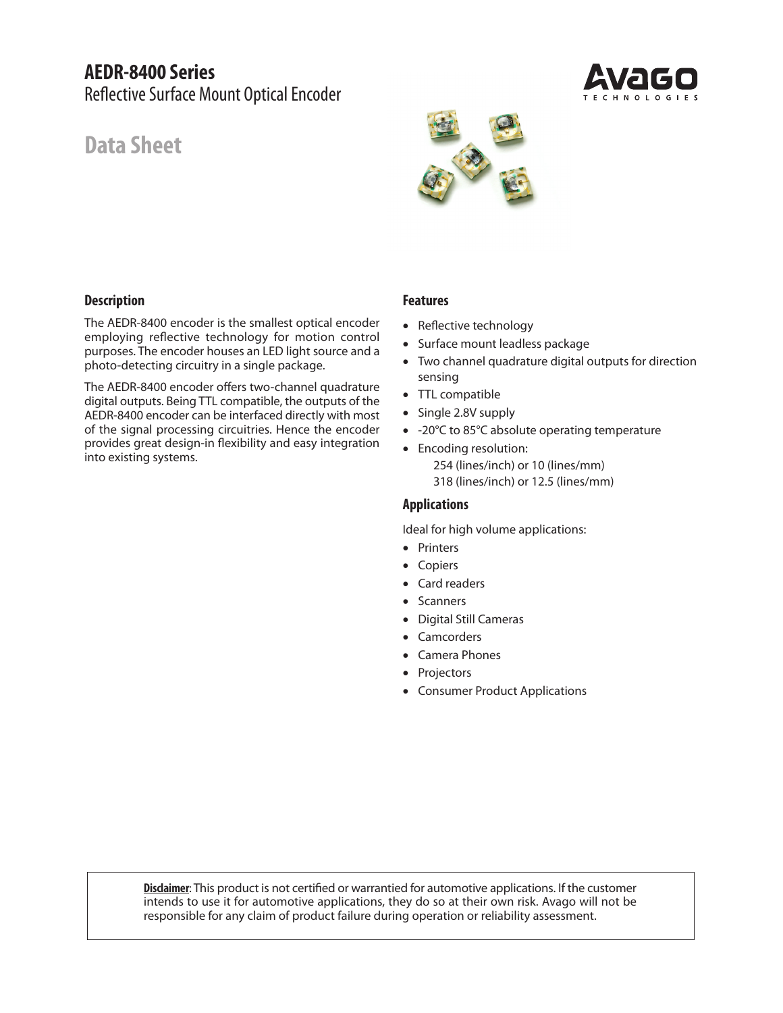# **AEDR-8400 Series** Reflective Surface Mount Optical Encoder

# **Data Sheet**



# **Description**

The AEDR-8400 encoder is the smallest optical encoder employing reflective technology for motion control purposes. The encoder houses an LED light source and a photo-detecting circuitry in a single package.

The AEDR-8400 encoder offers two-channel quadrature digital outputs. Being TTL compatible, the outputs of the AEDR-8400 encoder can be interfaced directly with most of the signal processing circuitries. Hence the encoder provides great design-in flexibility and easy integration into existing systems.

#### **Features**

- Reflective technology
- Surface mount leadless package
- Two channel quadrature digital outputs for direction sensing
- TTL compatible
- Single 2.8V supply
- -20°C to 85°C absolute operating temperature
- Encoding resolution: 254 (lines/inch) or 10 (lines/mm) 318 (lines/inch) or 12.5 (lines/mm)

#### **Applications**

Ideal for high volume applications:

- Printers
- Copiers
- Card readers
- Scanners
- Digital Still Cameras
- **Camcorders**
- Camera Phones
- **Projectors**
- Consumer Product Applications

**Disclaimer**: This product is not certified or warrantied for automotive applications. If the customer intends to use it for automotive applications, they do so at their own risk. Avago will not be responsible for any claim of product failure during operation or reliability assessment.

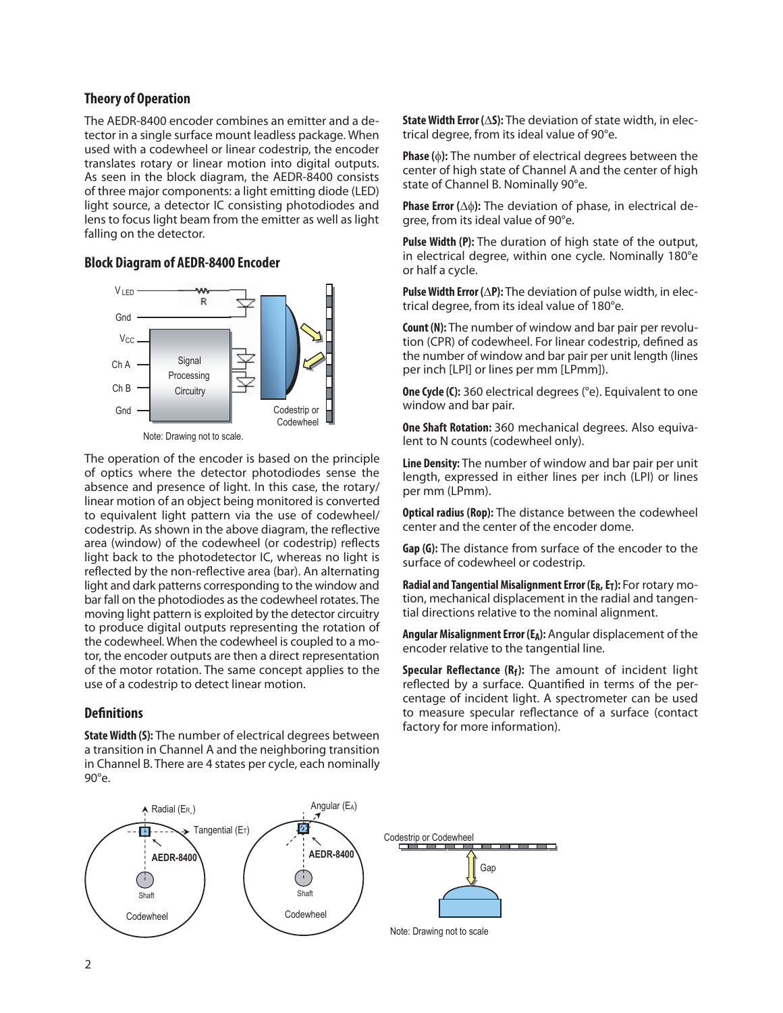#### **Theory of Operation**

The AEDR-8400 encoder combines an emitter and a detector in a single surface mount leadless package. When used with a codewheel or linear codestrip, the encoder translates rotary or linear motion into digital outputs. As seen in the block diagram, the AEDR-8400 consists of three major components: a light emitting diode (LED) light source, a detector IC consisting photodiodes and lens to focus light beam from the emitter as well as light falling on the detector.

#### **Block Diagram of AEDR-8400 Encoder**



The operation of the encoder is based on the principle of optics where the detector photodiodes sense the absence and presence of light. In this case, the rotary/ linear motion of an object being monitored is converted to equivalent light pattern via the use of codewheel/ codestrip. As shown in the above diagram, the reflective area (window) of the codewheel (or codestrip) reflects light back to the photodetector IC, whereas no light is reflected by the non-reflective area (bar). An alternating light and dark patterns corresponding to the window and bar fall on the photodiodes as the codewheel rotates. The moving light pattern is exploited by the detector circuitry to produce digital outputs representing the rotation of the codewheel. When the codewheel is coupled to a motor, the encoder outputs are then a direct representation of the motor rotation. The same concept applies to the use of a codestrip to detect linear motion.

#### **Definitions**

**State Width (S):** The number of electrical degrees between a transition in Channel A and the neighboring transition in Channel B. There are 4 states per cycle, each nominally 90 $^{\circ}$ e $^{\circ}$ 

**State Width Error (**∆**S):** The deviation of state width, in electrical degree, from its ideal value of 90°e.

**Phase (**φ**):** The number of electrical degrees between the center of high state of Channel A and the center of high state of Channel B. Nominally 90°e.

**Phase Error (**∆φ**):** The deviation of phase, in electrical degree, from its ideal value of 90°e.

**Pulse Width (P):** The duration of high state of the output, in electrical degree, within one cycle. Nominally 180°e or half a cycle.

**Pulse Width Error (**∆**P):** The deviation of pulse width, in electrical degree, from its ideal value of 180°e.

**Count (N):** The number of window and bar pair per revolution (CPR) of codewheel. For linear codestrip, defined as the number of window and bar pair per unit length (lines per inch [LPI] or lines per mm [LPmm]).

**One Cycle (C):** 360 electrical degrees (°e). Equivalent to one window and bar pair.

**One Shaft Rotation:** 360 mechanical degrees. Also equivalent to N counts (codewheel only).

**Line Density:** The number of window and bar pair per unit length, expressed in either lines per inch (LPI) or lines per mm (LPmm).

**Optical radius (Rop):** The distance between the codewheel center and the center of the encoder dome.

**Gap (G):** The distance from surface of the encoder to the surface of codewheel or codestrip.

**Radial and Tangential Misalignment Error (ER, ET):** For rotary motion, mechanical displacement in the radial and tangential directions relative to the nominal alignment.

**Angular Misalignment Error (EA):** Angular displacement of the encoder relative to the tangential line.

**Specular Reflectance (Rf):** The amount of incident light reflected by a surface. Quantified in terms of the percentage of incident light. A spectrometer can be used to measure specular reflectance of a surface (contact factory for more information).

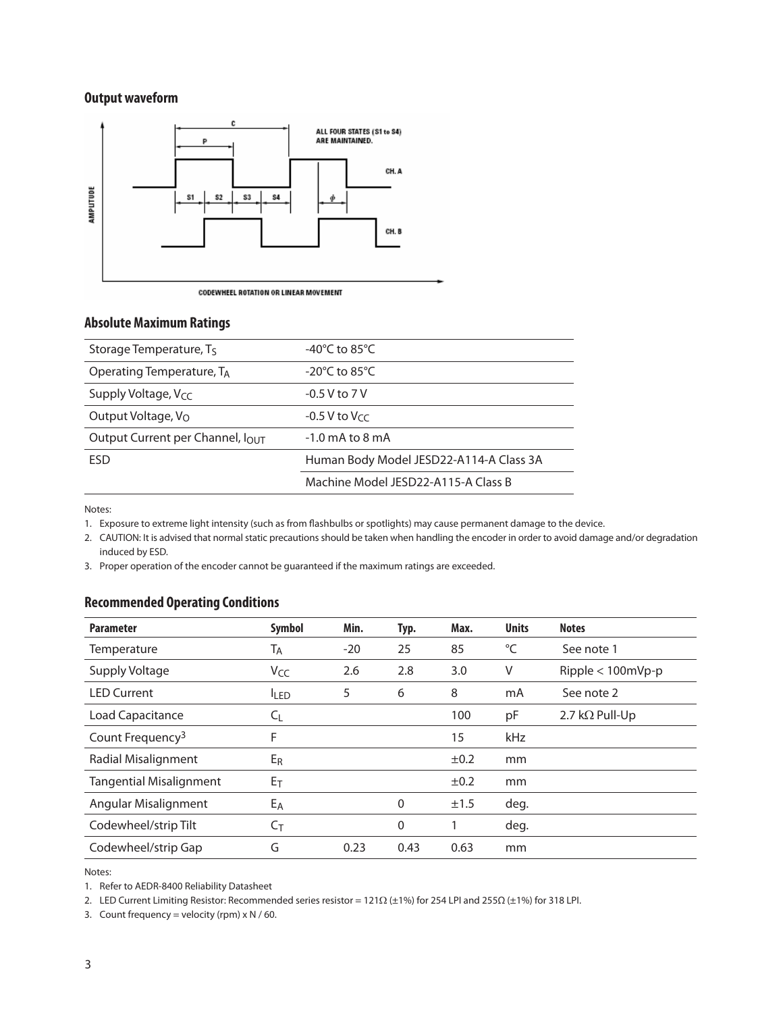# **Output waveform**



#### **Absolute Maximum Ratings**

| Storage Temperature, T <sub>S</sub> | -40 $^{\circ}$ C to 85 $^{\circ}$ C     |
|-------------------------------------|-----------------------------------------|
| Operating Temperature, TA           | $-20^{\circ}$ C to 85 $^{\circ}$ C      |
| Supply Voltage, $V_{CC}$            | $-0.5$ V to 7 V                         |
| Output Voltage, V <sub>O</sub>      | $-0.5$ V to V $cc$                      |
| Output Current per Channel, IOUT    | $-1.0$ mA to 8 mA                       |
| <b>FSD</b>                          | Human Body Model JESD22-A114-A Class 3A |
|                                     | Machine Model JESD22-A115-A Class B     |

Notes:

1. Exposure to extreme light intensity (such as from flashbulbs or spotlights) may cause permanent damage to the device.

2. CAUTION: It is advised that normal static precautions should be taken when handling the encoder in order to avoid damage and/or degradation induced by ESD.

3. Proper operation of the encoder cannot be guaranteed if the maximum ratings are exceeded.

### **Recommended Operating Conditions**

| <b>Parameter</b>               | <b>Symbol</b>    | Min.  | Typ.        | Max.      | <b>Units</b> | <b>Notes</b>           |
|--------------------------------|------------------|-------|-------------|-----------|--------------|------------------------|
| Temperature                    | Т <sub>А</sub>   | $-20$ | 25          | 85        | °C           | See note 1             |
| Supply Voltage                 | V <sub>CC</sub>  | 2.6   | 2.8         | 3.0       | V            | $Ripple < 100mVp-p$    |
| <b>LED Current</b>             | <b>ILED</b>      | 5     | 6           | 8         | mA           | See note 2             |
| Load Capacitance               | $C_{\mathsf{L}}$ |       |             | 100       | pF           | 2.7 k $\Omega$ Pull-Up |
| Count Frequency <sup>3</sup>   | F                |       |             | 15        | kHz          |                        |
| Radial Misalignment            | E <sub>R</sub>   |       |             | $\pm 0.2$ | mm           |                        |
| <b>Tangential Misalignment</b> | $E_T$            |       |             | $\pm 0.2$ | mm           |                        |
| Angular Misalignment           | E <sub>A</sub>   |       | 0           | ±1.5      | deg.         |                        |
| Codewheel/strip Tilt           | $C_T$            |       | $\mathbf 0$ |           | deg.         |                        |
| Codewheel/strip Gap            | G                | 0.23  | 0.43        | 0.63      | mm           |                        |

Notes:

1. Refer to AEDR-8400 Reliability Datasheet

2. LED Current Limiting Resistor: Recommended series resistor = 121Ω (±1%) for 254 LPI and 255Ω (±1%) for 318 LPI.

3. Count frequency = velocity (rpm)  $\times$  N / 60.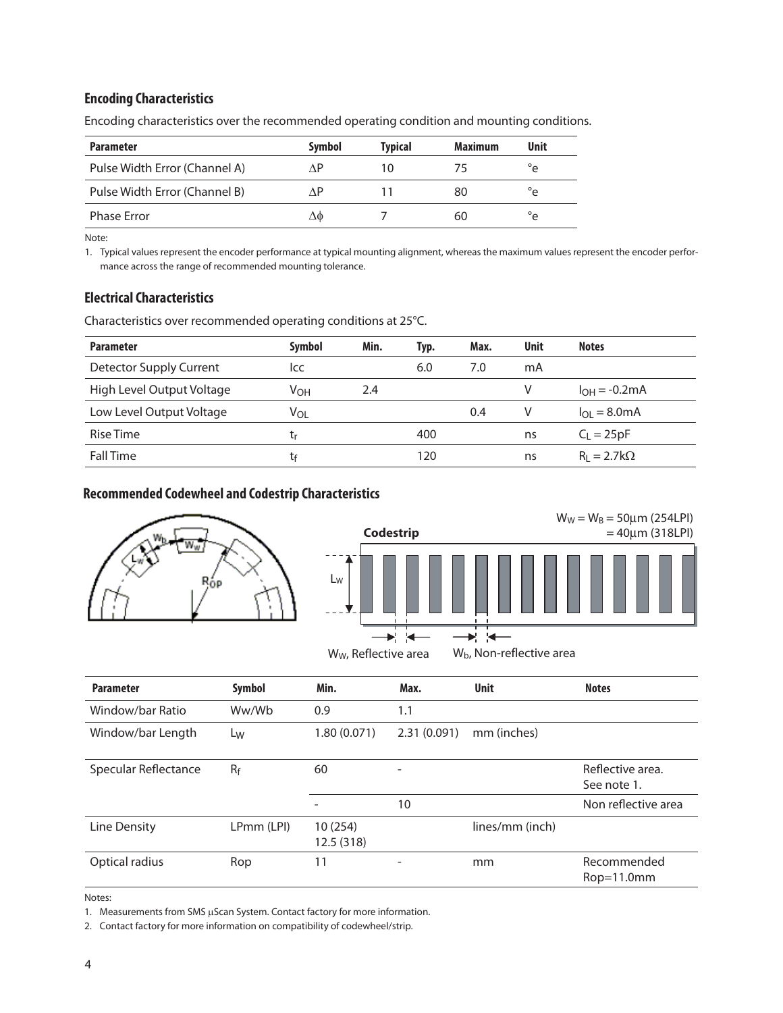# **Encoding Characteristics**

| <b>Parameter</b>              | <b>Symbol</b> | <b>Typical</b> | <b>Maximum</b> | Unit                  |
|-------------------------------|---------------|----------------|----------------|-----------------------|
| Pulse Width Error (Channel A) | ΛP            | 10             | 75             | $^{\circ}$ $^{\circ}$ |
| Pulse Width Error (Channel B) | ΛP            |                | 80             | $^{\circ}$ e          |
| <b>Phase Error</b>            | ΔΦ            |                | 60             | $^{\circ}$ e          |

Encoding characteristics over the recommended operating condition and mounting conditions.

Note:

1. Typical values represent the encoder performance at typical mounting alignment, whereas the maximum values represent the encoder performance across the range of recommended mounting tolerance.

# **Electrical Characteristics**

Characteristics over recommended operating conditions at 25°C.

| <b>Parameter</b>               | Symbol          | Min. | Typ. | Max. | <b>Unit</b> | <b>Notes</b>                   |
|--------------------------------|-----------------|------|------|------|-------------|--------------------------------|
| <b>Detector Supply Current</b> | ICC             |      | 6.0  | 7.0  | mA          |                                |
| High Level Output Voltage      | V <sub>OH</sub> | 2.4  |      |      | V           | $I_{OH} = -0.2mA$              |
| Low Level Output Voltage       | Vol             |      |      | 0.4  | V           | $I_{\Omega I} = 8.0 \text{mA}$ |
| Rise Time                      | tr              |      | 400  |      | ns          | $C_1 = 25pF$                   |
| <b>Fall Time</b>               | tŧ              |      | 120  |      | ns          | $R_1 = 2.7k\Omega$             |

# **Recommended Codewheel and Codestrip Characteristics**



|         | Codestrip |  |  |  |  |  | $W_W = W_B = 50 \mu m$ (254LPI)<br>$=40 \mu m (318 LPI)$ |  |
|---------|-----------|--|--|--|--|--|----------------------------------------------------------|--|
| $L_{W}$ |           |  |  |  |  |  |                                                          |  |
|         |           |  |  |  |  |  |                                                          |  |

 $W_W$ , Reflective area  $W_b$ , Non-reflective area

| <b>Parameter</b>     | Symbol     | Min.                 | Max.        | <b>Unit</b>     | <b>Notes</b>                    |
|----------------------|------------|----------------------|-------------|-----------------|---------------------------------|
| Window/bar Ratio     | Ww/Wb      | 0.9                  | 1.1         |                 |                                 |
| Window/bar Length    | Lw         | 1.80(0.071)          | 2.31(0.091) | mm (inches)     |                                 |
| Specular Reflectance | $R_f$      | 60                   |             |                 | Reflective area.<br>See note 1. |
|                      |            |                      | 10          |                 | Non reflective area             |
| Line Density         | LPmm (LPI) | 10(254)<br>12.5(318) |             | lines/mm (inch) |                                 |
| Optical radius       | Rop        | 11                   |             | mm              | Recommended<br>$Rop=11.0mm$     |

Notes:

1. Measurements from SMS µScan System. Contact factory for more information.

2. Contact factory for more information on compatibility of codewheel/strip.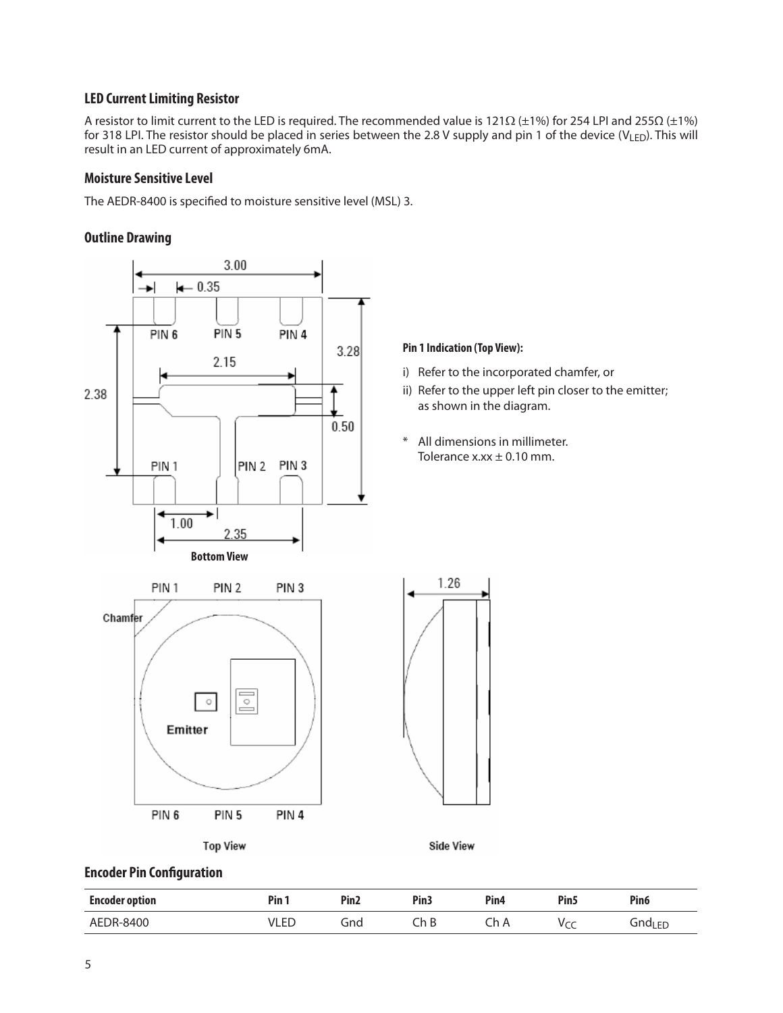# **LED Current Limiting Resistor**

A resistor to limit current to the LED is required. The recommended value is 121Ω (±1%) for 254 LPI and 255Ω (±1%) for 318 LPI. The resistor should be placed in series between the 2.8 V supply and pin 1 of the device (VLED). This will result in an LED current of approximately 6mA.

#### **Moisture Sensitive Level**

The AEDR-8400 is specified to moisture sensitive level (MSL) 3.

#### **Outline Drawing**



### **Encoder Pin Configuration**

| <b>Encoder option</b> | $P$ in | Pin <sub>2</sub> | Pin <sub>3</sub> | Pin <sub>4</sub> | Pin <sub>5</sub> | Pin <sub>6</sub>   |
|-----------------------|--------|------------------|------------------|------------------|------------------|--------------------|
| AEDR-8400             | /LED   | Gnd              | h<br>ìЬ          | Ch A             | $\tilde{}$       | Gnd <sub>LED</sub> |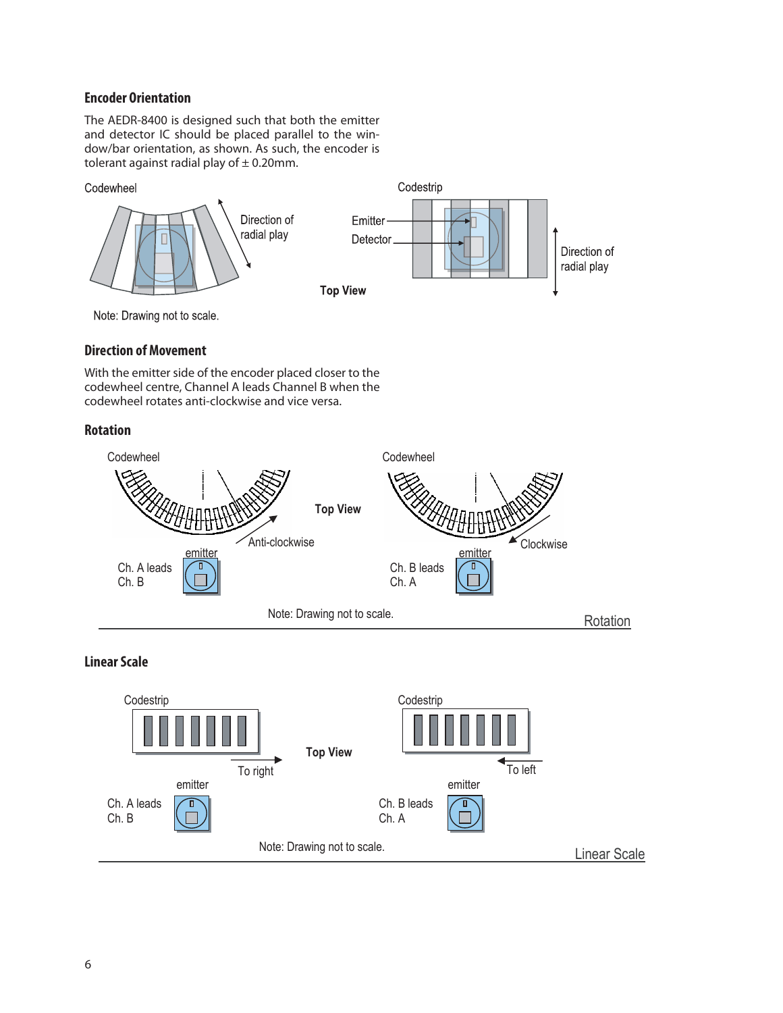# **Encoder Orientation**

The AEDR-8400 is designed such that both the emitter and detector IC should be placed parallel to the window/bar orientation, as shown. As such, the encoder is tolerant against radial play of  $\pm$  0.20mm.

#### Codewheel



Note: Drawing not to scale.

#### **Direction of Movement**

With the emitter side of the encoder placed closer to the codewheel centre, Channel A leads Channel B when the codewheel rotates anti-clockwise and vice versa.

### **Rotation**



# **Linear Scale**

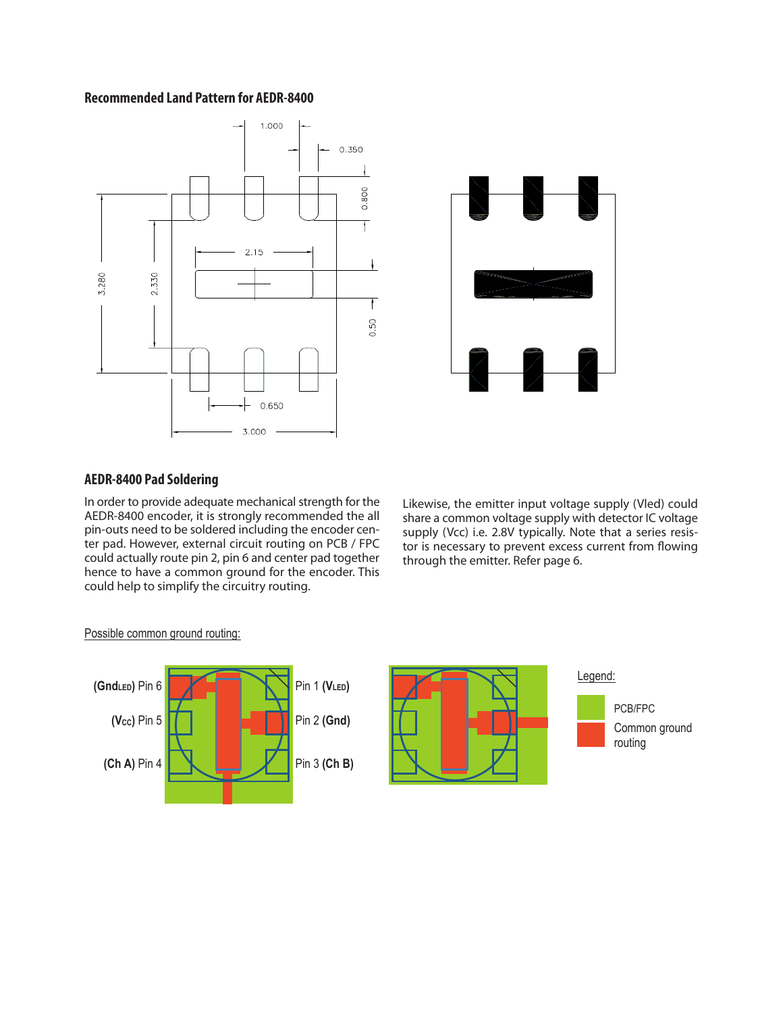#### **Recommended Land Pattern for AEDR-8400**





#### **AEDR-8400 Pad Soldering**

In order to provide adequate mechanical strength for the AEDR-8400 encoder, it is strongly recommended the all pin-outs need to be soldered including the encoder center pad. However, external circuit routing on PCB / FPC could actually route pin 2, pin 6 and center pad together hence to have a common ground for the encoder. This could help to simplify the circuitry routing.

Likewise, the emitter input voltage supply (Vled) could share a common voltage supply with detector IC voltage supply (Vcc) i.e. 2.8V typically. Note that a series resistor is necessary to prevent excess current from flowing through the emitter. Refer page 6.

#### Possible common ground routing: